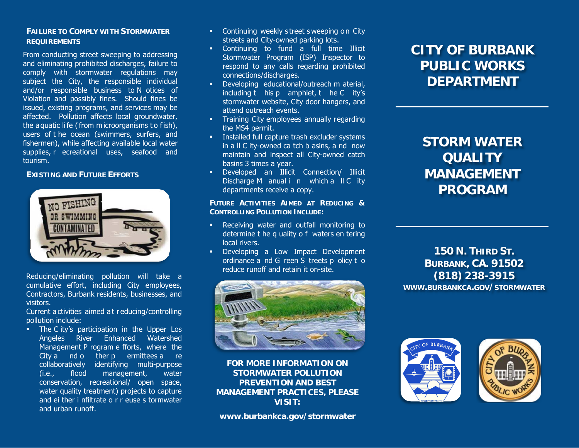## **FAILURE TO COMPLY WITH STORMWATER REQUIREMENTS**

From conducting street sweeping to addressing and eliminating prohibited discharges, failure to comply with stormwater regulations may subject the City, the responsible individual and/or responsible business to N otices of Violation and possibly fines. Should fines be issued, existing programs, and services may be affected. Pollution affects local groundwater, the aquatic life (from microorganisms to fish), users of t he ocean (swimmers, surfers, and fishermen), while affecting available local water supplies, r ecreational uses, seafood and tourism.

## **EXISTING AND FUTURE EFFORTS**



Reducing/eliminating pollution will take a cumulative effort, including City employees, Contractors, Burbank residents, businesses, and visitors.

Current a ctivities aimed a t r educing/controlling pollution include:

• The C ity's participation in the Upper Los Angeles River Enhanced Watershed Management P rogram e fforts, where the City a nd o ther p ermittees a re collaboratively identifying multi-purpose (i.e., flood management, water conservation, recreational/ open space, water quality treatment) projects to capture and ei ther i nfiltrate o r r euse s tormwater and urban runoff.

- **EXECONTINUING WEEKLY Street sweeping on City** streets and City-owned parking lots.
- Continuing to fund a full time Illicit Stormwater Program (ISP) Inspector to respond to any calls regarding prohibited connections/discharges.
- **Developing educational/outreach m aterial,** including t his p amphlet, t he C ity's stormwater website, City door hangers, and attend outreach events.
- **Training City employees annually regarding** the MS4 permit.
- **Installed full capture trash excluder systems** in a ll C ity-owned ca tch b asins, a nd now maintain and inspect all City-owned catch basins 3 times a year.
- Developed an Illicit Connection/ Illicit Discharge M anual i n which a II C ity departments receive a copy.

**FUTURE ACTIVITIES AIMED AT REDUCING & CONTROLLING POLLUTION INCLUDE:** 

- Receiving water and outfall monitoring to determine t he q uality o f waters en tering local rivers.
- **•** Developing a Low Impact Development ordinance a nd G reen S treets p olicy t o reduce runoff and retain it on-site.



**FOR MORE INFORMATION ON STORMWATER POLLUTION PREVENTION AND BEST MANAGEMENT PRACTICES, PLEASE VISIT:**

**www.burbankca.gov/stormwater**

# **CITY OF BURBANK PUBLIC WORKS DEPARTMENT**

# **STORM WATER QUALITY MANAGEMENT PROGRAM**

**150 N. THIRD ST. BURBANK, CA. 91502 (818) 238-3915 WWW.BURBANKCA.GOV/STORMWATER**